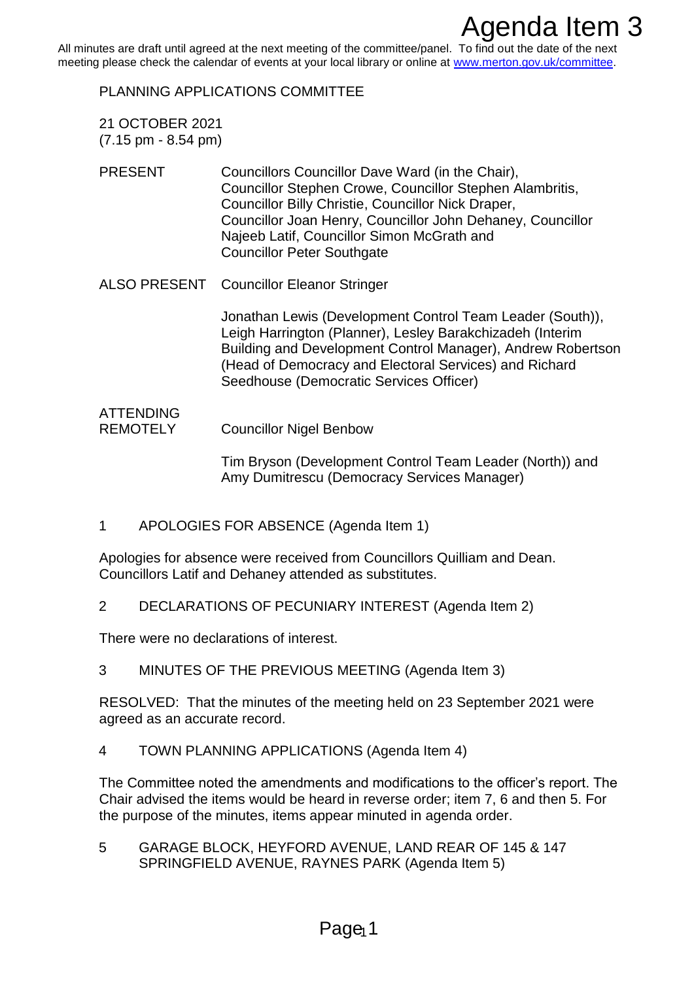All minutes are draft until agreed at the next meeting of the committee/panel. To find out the date of the next meeting please check the calendar of events at your local library or online at [www.merton.gov.uk/committee.](http://www.merton.gov.uk/committee)

PLANNING APPLICATIONS COMMITTEE

- 21 OCTOBER 2021 (7.15 pm - 8.54 pm)
- PRESENT Councillors Councillor Dave Ward (in the Chair), Councillor Stephen Crowe, Councillor Stephen Alambritis, Councillor Billy Christie, Councillor Nick Draper, Councillor Joan Henry, Councillor John Dehaney, Councillor Najeeb Latif, Councillor Simon McGrath and Councillor Peter Southgate **Agenda Item 3**<br>**Agenda Item**<br>In recal library or online at www.methon.gov.uk/committes.<br>In riseal library or online at www.methon.gov.uk/committes.<br>
AllTTEE<br>
Incition Taxe Ward (in the Chair),<br>
Phane, Councillor Nephen Al
- ALSO PRESENT Councillor Eleanor Stringer

Jonathan Lewis (Development Control Team Leader (South)), Leigh Harrington (Planner), Lesley Barakchizadeh (Interim Building and Development Control Manager), Andrew Robertson (Head of Democracy and Electoral Services) and Richard Seedhouse (Democratic Services Officer)

## ATTENDING REMOTELY Councillor Nigel Benbow

Tim Bryson (Development Control Team Leader (North)) and Amy Dumitrescu (Democracy Services Manager)

1 APOLOGIES FOR ABSENCE (Agenda Item 1)

Apologies for absence were received from Councillors Quilliam and Dean. Councillors Latif and Dehaney attended as substitutes.

2 DECLARATIONS OF PECUNIARY INTEREST (Agenda Item 2)

There were no declarations of interest.

3 MINUTES OF THE PREVIOUS MEETING (Agenda Item 3)

RESOLVED: That the minutes of the meeting held on 23 September 2021 were agreed as an accurate record.

4 TOWN PLANNING APPLICATIONS (Agenda Item 4)

The Committee noted the amendments and modifications to the officer's report. The Chair advised the items would be heard in reverse order; item 7, 6 and then 5. For the purpose of the minutes, items appear minuted in agenda order.

5 GARAGE BLOCK, HEYFORD AVENUE, LAND REAR OF 145 & 147 SPRINGFIELD AVENUE, RAYNES PARK (Agenda Item 5)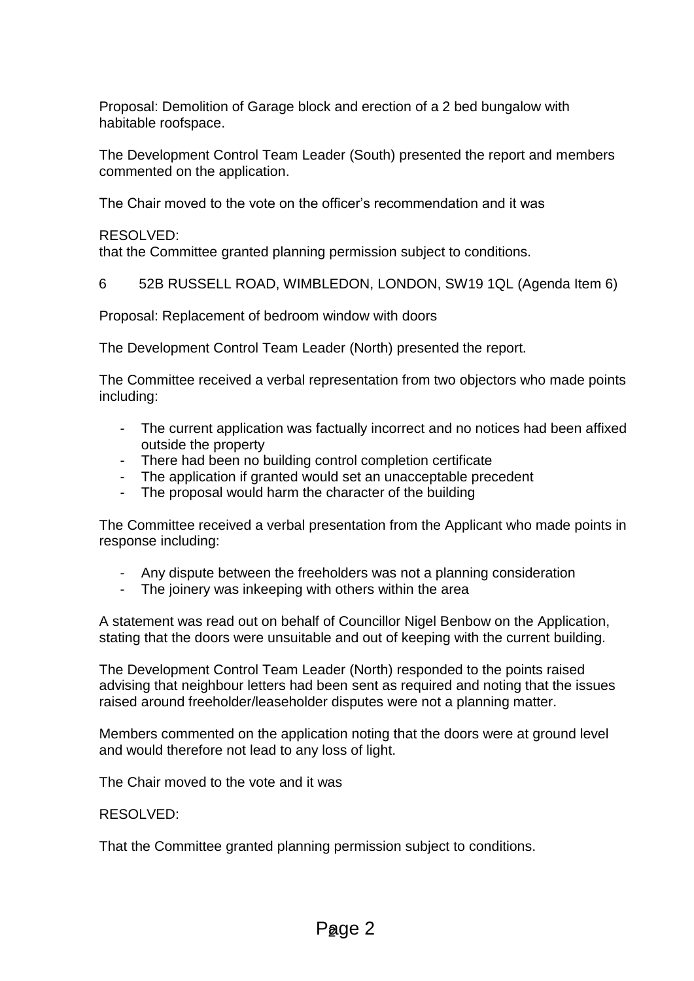Proposal: Demolition of Garage block and erection of a 2 bed bungalow with habitable roofspace.

The Development Control Team Leader (South) presented the report and members commented on the application.

The Chair moved to the vote on the officer's recommendation and it was

RESOLVED:

that the Committee granted planning permission subject to conditions.

6 52B RUSSELL ROAD, WIMBLEDON, LONDON, SW19 1QL (Agenda Item 6)

Proposal: Replacement of bedroom window with doors

The Development Control Team Leader (North) presented the report.

The Committee received a verbal representation from two objectors who made points including:

- The current application was factually incorrect and no notices had been affixed outside the property
- There had been no building control completion certificate
- The application if granted would set an unacceptable precedent
- The proposal would harm the character of the building

The Committee received a verbal presentation from the Applicant who made points in response including:

- Any dispute between the freeholders was not a planning consideration
- The joinery was inkeeping with others within the area

A statement was read out on behalf of Councillor Nigel Benbow on the Application, stating that the doors were unsuitable and out of keeping with the current building.

The Development Control Team Leader (North) responded to the points raised advising that neighbour letters had been sent as required and noting that the issues raised around freeholder/leaseholder disputes were not a planning matter.

Members commented on the application noting that the doors were at ground level and would therefore not lead to any loss of light.

The Chair moved to the vote and it was

## RESOLVED:

That the Committee granted planning permission subject to conditions.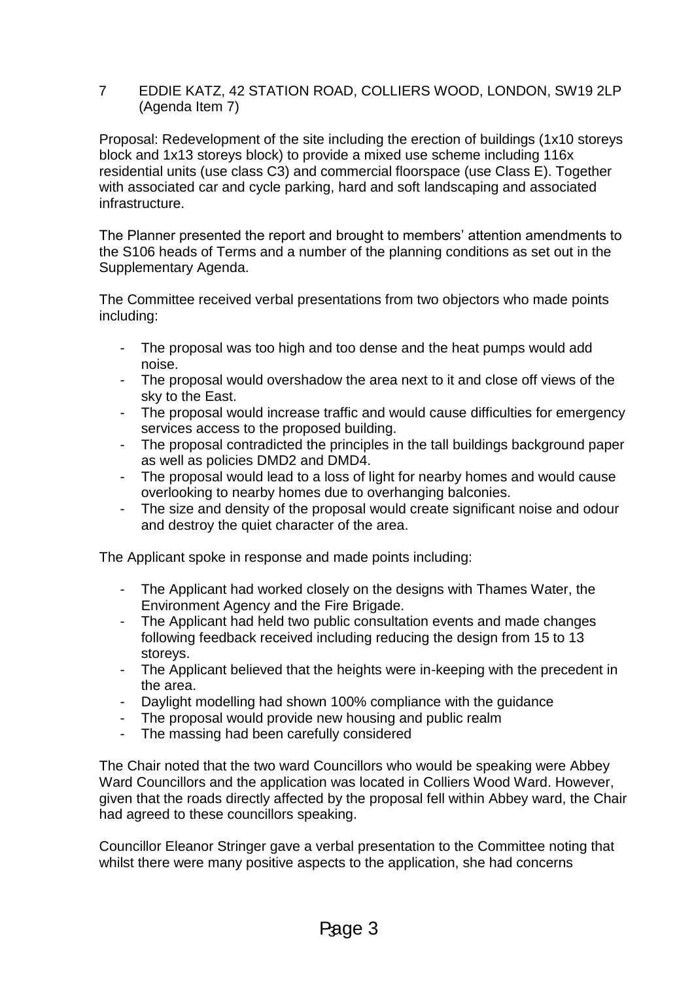## 7 EDDIE KATZ, 42 STATION ROAD, COLLIERS WOOD, LONDON, SW19 2LP (Agenda Item 7)

Proposal: Redevelopment of the site including the erection of buildings (1x10 storeys block and 1x13 storeys block) to provide a mixed use scheme including 116x residential units (use class C3) and commercial floorspace (use Class E). Together with associated car and cycle parking, hard and soft landscaping and associated infrastructure.

The Planner presented the report and brought to members' attention amendments to the S106 heads of Terms and a number of the planning conditions as set out in the Supplementary Agenda.

The Committee received verbal presentations from two objectors who made points including:

- The proposal was too high and too dense and the heat pumps would add noise.
- The proposal would overshadow the area next to it and close off views of the sky to the East.
- The proposal would increase traffic and would cause difficulties for emergency services access to the proposed building.
- The proposal contradicted the principles in the tall buildings background paper as well as policies DMD2 and DMD4.
- The proposal would lead to a loss of light for nearby homes and would cause overlooking to nearby homes due to overhanging balconies.
- The size and density of the proposal would create significant noise and odour and destroy the quiet character of the area.

The Applicant spoke in response and made points including:

- The Applicant had worked closely on the designs with Thames Water, the Environment Agency and the Fire Brigade.
- The Applicant had held two public consultation events and made changes following feedback received including reducing the design from 15 to 13 storeys.
- The Applicant believed that the heights were in-keeping with the precedent in the area.
- Daylight modelling had shown 100% compliance with the guidance
- The proposal would provide new housing and public realm
- The massing had been carefully considered

The Chair noted that the two ward Councillors who would be speaking were Abbey Ward Councillors and the application was located in Colliers Wood Ward. However, given that the roads directly affected by the proposal fell within Abbey ward, the Chair had agreed to these councillors speaking.

Councillor Eleanor Stringer gave a verbal presentation to the Committee noting that whilst there were many positive aspects to the application, she had concerns